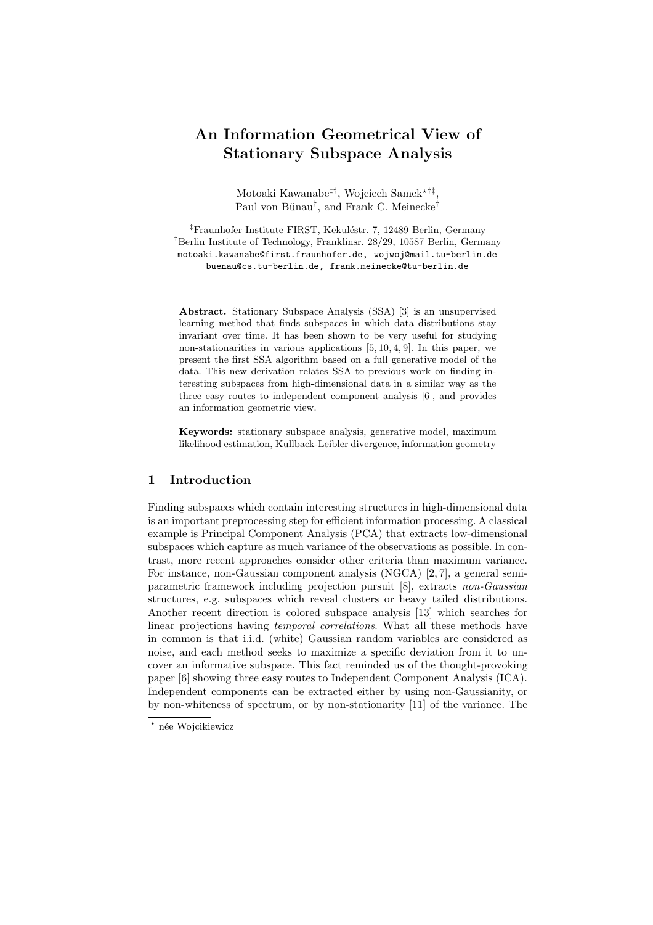# An Information Geometrical View of Stationary Subspace Analysis

Motoaki Kawanabe<sup>‡†</sup>, Wojciech Samek<sup>\*†‡</sup>, Paul von Bünau<sup>†</sup>, and Frank C. Meinecke<sup>†</sup>

<sup>‡</sup>Fraunhofer Institute FIRST, Kekuléstr. 7, 12489 Berlin, Germany †Berlin Institute of Technology, Franklinsr. 28/29, 10587 Berlin, Germany motoaki.kawanabe@first.fraunhofer.de, wojwoj@mail.tu-berlin.de buenau@cs.tu-berlin.de, frank.meinecke@tu-berlin.de

Abstract. Stationary Subspace Analysis (SSA) [3] is an unsupervised learning method that finds subspaces in which data distributions stay invariant over time. It has been shown to be very useful for studying non-stationarities in various applications  $[5, 10, 4, 9]$ . In this paper, we present the first SSA algorithm based on a full generative model of the data. This new derivation relates SSA to previous work on finding interesting subspaces from high-dimensional data in a similar way as the three easy routes to independent component analysis [6], and provides an information geometric view.

Keywords: stationary subspace analysis, generative model, maximum likelihood estimation, Kullback-Leibler divergence, information geometry

# 1 Introduction

Finding subspaces which contain interesting structures in high-dimensional data is an important preprocessing step for efficient information processing. A classical example is Principal Component Analysis (PCA) that extracts low-dimensional subspaces which capture as much variance of the observations as possible. In contrast, more recent approaches consider other criteria than maximum variance. For instance, non-Gaussian component analysis (NGCA) [2, 7], a general semiparametric framework including projection pursuit [8], extracts non-Gaussian structures, e.g. subspaces which reveal clusters or heavy tailed distributions. Another recent direction is colored subspace analysis [13] which searches for linear projections having temporal correlations. What all these methods have in common is that i.i.d. (white) Gaussian random variables are considered as noise, and each method seeks to maximize a specific deviation from it to uncover an informative subspace. This fact reminded us of the thought-provoking paper [6] showing three easy routes to Independent Component Analysis (ICA). Independent components can be extracted either by using non-Gaussianity, or by non-whiteness of spectrum, or by non-stationarity [11] of the variance. The

<sup>\*</sup> née Wojcikiewicz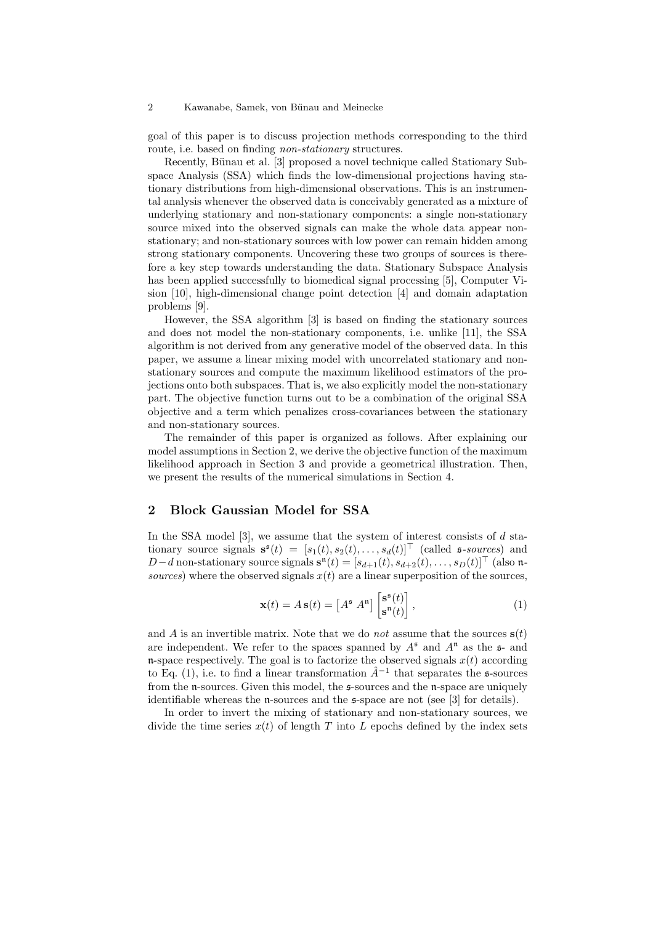goal of this paper is to discuss projection methods corresponding to the third route, i.e. based on finding *non-stationary* structures.

Recently, Bünau et al. [3] proposed a novel technique called Stationary Subspace Analysis (SSA) which finds the low-dimensional projections having stationary distributions from high-dimensional observations. This is an instrumental analysis whenever the observed data is conceivably generated as a mixture of underlying stationary and non-stationary components: a single non-stationary source mixed into the observed signals can make the whole data appear nonstationary; and non-stationary sources with low power can remain hidden among strong stationary components. Uncovering these two groups of sources is therefore a key step towards understanding the data. Stationary Subspace Analysis has been applied successfully to biomedical signal processing [5], Computer Vision [10], high-dimensional change point detection [4] and domain adaptation problems [9].

However, the SSA algorithm [3] is based on finding the stationary sources and does not model the non-stationary components, i.e. unlike [11], the SSA algorithm is not derived from any generative model of the observed data. In this paper, we assume a linear mixing model with uncorrelated stationary and nonstationary sources and compute the maximum likelihood estimators of the projections onto both subspaces. That is, we also explicitly model the non-stationary part. The objective function turns out to be a combination of the original SSA objective and a term which penalizes cross-covariances between the stationary and non-stationary sources.

The remainder of this paper is organized as follows. After explaining our model assumptions in Section 2, we derive the objective function of the maximum likelihood approach in Section 3 and provide a geometrical illustration. Then, we present the results of the numerical simulations in Section 4.

# 2 Block Gaussian Model for SSA

In the SSA model  $[3]$ , we assume that the system of interest consists of d stationary source signals  $\mathbf{s}^{\mathfrak{s}}(t) = [s_1(t), s_2(t), \dots, s_d(t)]^{\top}$  (called  $\mathfrak{s}$ -sources) and D – d non-stationary source signals  $\mathbf{s}^{n}(t) = [s_{d+1}(t), s_{d+2}(t), \ldots, s_D(t)]^{\top}$  (also nsources) where the observed signals  $x(t)$  are a linear superposition of the sources,

$$
\mathbf{x}(t) = A\,\mathbf{s}(t) = \begin{bmatrix} A^{\mathfrak{s}} \ A^{\mathfrak{n}} \end{bmatrix} \begin{bmatrix} \mathbf{s}^{\mathfrak{s}}(t) \\ \mathbf{s}^{\mathfrak{n}}(t) \end{bmatrix},\tag{1}
$$

and A is an invertible matrix. Note that we do *not* assume that the sources  $s(t)$ are independent. We refer to the spaces spanned by  $A^{\mathfrak{s}}$  and  $A^{\mathfrak{n}}$  as the  $\mathfrak{s}$ - and n-space respectively. The goal is to factorize the observed signals  $x(t)$  according to Eq. (1), i.e. to find a linear transformation  $\hat{A}^{-1}$  that separates the s-sources from the  $\mathfrak n$ -sources. Given this model, the  $\mathfrak s$ -sources and the  $\mathfrak n$ -space are uniquely identifiable whereas the n-sources and the s-space are not (see [3] for details).

In order to invert the mixing of stationary and non-stationary sources, we divide the time series  $x(t)$  of length T into L epochs defined by the index sets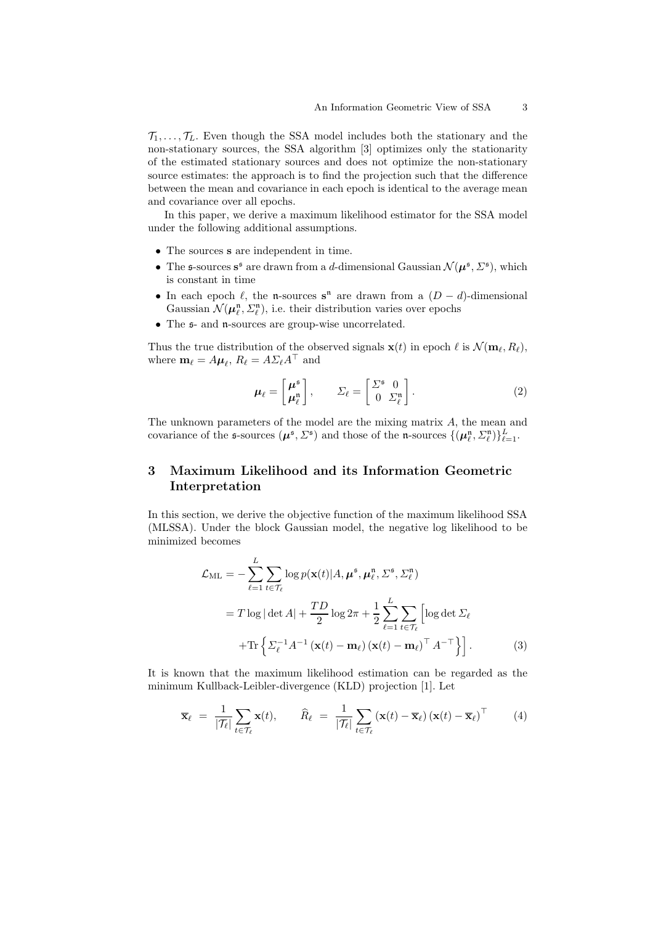$\mathcal{T}_1, \ldots, \mathcal{T}_L$ . Even though the SSA model includes both the stationary and the non-stationary sources, the SSA algorithm [3] optimizes only the stationarity of the estimated stationary sources and does not optimize the non-stationary source estimates: the approach is to find the projection such that the difference between the mean and covariance in each epoch is identical to the average mean and covariance over all epochs.

In this paper, we derive a maximum likelihood estimator for the SSA model under the following additional assumptions.

- The sources s are independent in time.
- The s-sources  $s^s$  are drawn from a d-dimensional Gaussian  $\mathcal{N}(\mu^s, \Sigma^s)$ , which is constant in time
- In each epoch  $\ell$ , the n-sources s<sup>n</sup> are drawn from a  $(D d)$ -dimensional Gaussian  $\mathcal{N}(\mu_{\ell}^{\mathfrak{n}}, \Sigma_{\ell}^{\mathfrak{n}})$ , i.e. their distribution varies over epochs
- The  $\mathfrak{s}$  and  $\mathfrak{n}$ -sources are group-wise uncorrelated.

Thus the true distribution of the observed signals  $\mathbf{x}(t)$  in epoch  $\ell$  is  $\mathcal{N}(\mathbf{m}_{\ell}, R_{\ell})$ , where  $\mathbf{m}_{\ell} = A \boldsymbol{\mu}_{\ell}, R_{\ell} = A \Sigma_{\ell} A^{\top}$  and

$$
\mu_{\ell} = \begin{bmatrix} \mu^{\mathfrak{s}} \\ \mu_{\ell}^{\mathfrak{n}} \end{bmatrix}, \qquad \Sigma_{\ell} = \begin{bmatrix} \Sigma^{\mathfrak{s}} & 0 \\ 0 & \Sigma_{\ell}^{\mathfrak{n}} \end{bmatrix}.
$$
 (2)

The unknown parameters of the model are the mixing matrix A, the mean and covariance of the s-sources  $(\mu^{\mathfrak{s}}, \Sigma^{\mathfrak{s}})$  and those of the n-sources  $\{(\mu_{\ell}^{\mathfrak{n}}, \Sigma_{\ell}^{\mathfrak{n}})\}_{\ell=1}^{L}$ .

# 3 Maximum Likelihood and its Information Geometric Interpretation

In this section, we derive the objective function of the maximum likelihood SSA (MLSSA). Under the block Gaussian model, the negative log likelihood to be minimized becomes

$$
\mathcal{L}_{\text{ML}} = -\sum_{\ell=1}^{L} \sum_{t \in \mathcal{T}_{\ell}} \log p(\mathbf{x}(t) | A, \boldsymbol{\mu}^{\mathfrak{s}}, \boldsymbol{\mu}_{\ell}^{\mathfrak{n}}, \Sigma^{\mathfrak{s}}, \Sigma_{\ell}^{\mathfrak{n}})
$$
  
=  $T \log |\det A| + \frac{TD}{2} \log 2\pi + \frac{1}{2} \sum_{\ell=1}^{L} \sum_{t \in \mathcal{T}_{\ell}} \left[ \log \det \Sigma_{\ell} + \text{Tr} \left\{ \Sigma_{\ell}^{-1} A^{-1} (\mathbf{x}(t) - \mathbf{m}_{\ell}) (\mathbf{x}(t) - \mathbf{m}_{\ell})^{\top} A^{-\top} \right\} \right].$  (3)

It is known that the maximum likelihood estimation can be regarded as the minimum Kullback-Leibler-divergence (KLD) projection [1]. Let

$$
\overline{\mathbf{x}}_{\ell} = \frac{1}{|\mathcal{T}_{\ell}|} \sum_{t \in \mathcal{T}_{\ell}} \mathbf{x}(t), \qquad \widehat{R}_{\ell} = \frac{1}{|\mathcal{T}_{\ell}|} \sum_{t \in \mathcal{T}_{\ell}} (\mathbf{x}(t) - \overline{\mathbf{x}}_{\ell}) (\mathbf{x}(t) - \overline{\mathbf{x}}_{\ell})^{\top} \qquad (4)
$$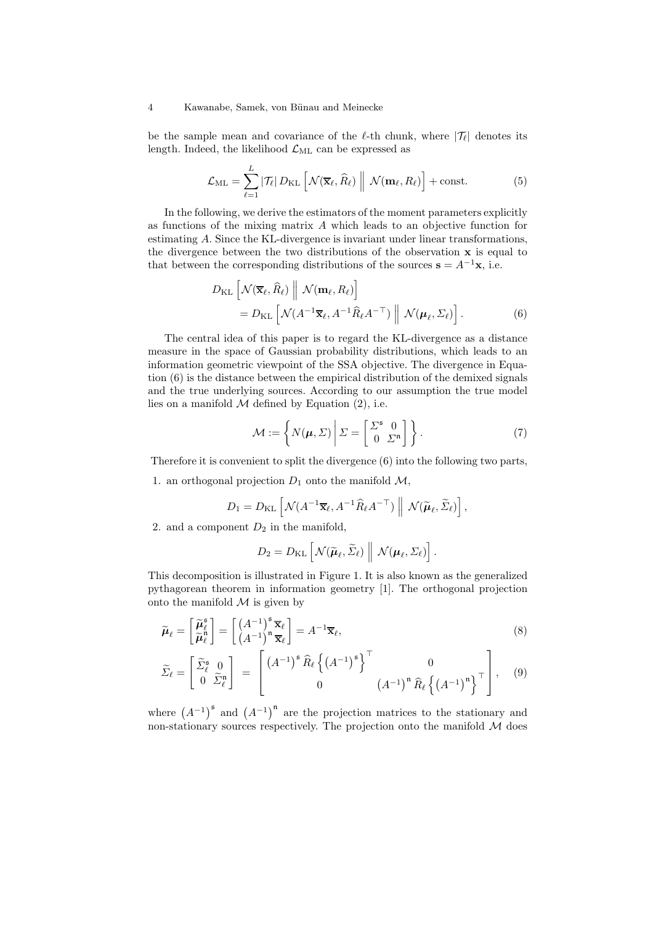be the sample mean and covariance of the  $\ell$ -th chunk, where  $|\mathcal{T}_{\ell}|$  denotes its length. Indeed, the likelihood  $\mathcal{L}_{ML}$  can be expressed as

$$
\mathcal{L}_{\mathrm{ML}} = \sum_{\ell=1}^{L} |\mathcal{T}_{\ell}| D_{\mathrm{KL}} \left[ \mathcal{N}(\overline{\mathbf{x}}_{\ell}, \widehat{R}_{\ell}) \middle\| \mathcal{N}(\mathbf{m}_{\ell}, R_{\ell}) \right] + \text{const.}
$$
 (5)

In the following, we derive the estimators of the moment parameters explicitly as functions of the mixing matrix A which leads to an objective function for estimating A. Since the KL-divergence is invariant under linear transformations, the divergence between the two distributions of the observation  $x$  is equal to that between the corresponding distributions of the sources  $\mathbf{s} = A^{-1}\mathbf{x}$ , i.e.

$$
D_{\text{KL}}\left[\mathcal{N}(\overline{\mathbf{x}}_{\ell}, \widehat{R}_{\ell}) \middle\| \mathcal{N}(\mathbf{m}_{\ell}, R_{\ell})\right] = D_{\text{KL}}\left[\mathcal{N}(A^{-1}\overline{\mathbf{x}}_{\ell}, A^{-1}\widehat{R}_{\ell}A^{-\top}) \middle\| \mathcal{N}(\boldsymbol{\mu}_{\ell}, \Sigma_{\ell})\right].
$$
 (6)

The central idea of this paper is to regard the KL-divergence as a distance measure in the space of Gaussian probability distributions, which leads to an information geometric viewpoint of the SSA objective. The divergence in Equation (6) is the distance between the empirical distribution of the demixed signals and the true underlying sources. According to our assumption the true model lies on a manifold  $M$  defined by Equation (2), i.e.

$$
\mathcal{M} := \left\{ N(\boldsymbol{\mu}, \boldsymbol{\Sigma}) \middle| \boldsymbol{\Sigma} = \begin{bmatrix} \boldsymbol{\Sigma}^{\mathfrak{s}} & 0 \\ 0 & \boldsymbol{\Sigma}^{\mathfrak{n}} \end{bmatrix} \right\}.
$$
\n<sup>(7)</sup>

Therefore it is convenient to split the divergence (6) into the following two parts,

1. an orthogonal projection  $D_1$  onto the manifold  $\mathcal{M}$ ,

$$
D_1 = D_{\mathrm{KL}}\left[\mathcal{N}(A^{-1}\overline{\mathbf{x}}_{\ell}, A^{-1}\widehat{R}_{\ell}A^{-\top}) \middle\| \mathcal{N}(\widetilde{\boldsymbol{\mu}}_{\ell}, \widetilde{\Sigma}_{\ell})\right],
$$

2. and a component  $D_2$  in the manifold,

$$
D_2 = D_{\mathrm{KL}}\left[\mathcal{N}(\widetilde{\boldsymbol{\mu}}_\ell, \widetilde{\Sigma}_\ell) \middle\| \mathcal{N}(\boldsymbol{\mu}_\ell, \Sigma_\ell)\right].
$$

This decomposition is illustrated in Figure 1. It is also known as the generalized pythagorean theorem in information geometry [1]. The orthogonal projection onto the manifold  $\mathcal M$  is given by

$$
\widetilde{\boldsymbol{\mu}}_{\ell} = \begin{bmatrix} \widetilde{\boldsymbol{\mu}}_{\ell}^{\mathfrak{s}} \\ \widetilde{\boldsymbol{\mu}}_{\ell}^{\mathfrak{n}} \end{bmatrix} = \begin{bmatrix} \left( A^{-1} \right)^{\mathfrak{s}} \overline{\mathbf{x}}_{\ell} \\ \left( A^{-1} \right)^{\mathfrak{n}} \overline{\mathbf{x}}_{\ell} \end{bmatrix} = A^{-1} \overline{\mathbf{x}}_{\ell},\tag{8}
$$

$$
\widetilde{\Sigma}_{\ell} = \begin{bmatrix} \widetilde{\Sigma}_{\ell}^{\mathfrak{s}} & 0 \\ 0 & \widetilde{\Sigma}_{\ell}^{\mathfrak{n}} \end{bmatrix} = \begin{bmatrix} \left(A^{-1}\right)^{\mathfrak{s}} \widehat{R}_{\ell} \left\{ \left(A^{-1}\right)^{\mathfrak{s}} \right\}^{\top} & 0 \\ 0 & \left(A^{-1}\right)^{\mathfrak{n}} \widehat{R}_{\ell} \left\{ \left(A^{-1}\right)^{\mathfrak{n}} \right\}^{\top} \end{bmatrix}, \quad (9)
$$

where  $(A^{-1})^5$  and  $(A^{-1})^n$  are the projection matrices to the stationary and non-stationary sources respectively. The projection onto the manifold  $M$  does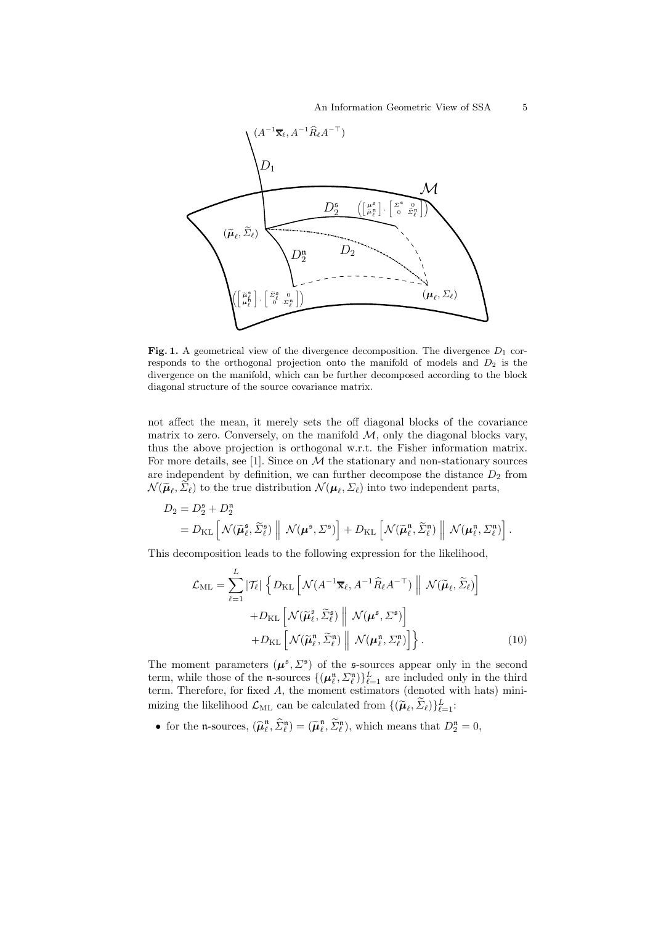

Fig. 1. A geometrical view of the divergence decomposition. The divergence  $D_1$  corresponds to the orthogonal projection onto the manifold of models and  $D_2$  is the divergence on the manifold, which can be further decomposed according to the block diagonal structure of the source covariance matrix.

not affect the mean, it merely sets the off diagonal blocks of the covariance matrix to zero. Conversely, on the manifold  $M$ , only the diagonal blocks vary, thus the above projection is orthogonal w.r.t. the Fisher information matrix. For more details, see [1]. Since on  $M$  the stationary and non-stationary sources are independent by definition, we can further decompose the distance  $D_2$  from  $\mathcal{N}(\widetilde{\boldsymbol{\mu}}_{\ell}, \Sigma_{\ell})$  to the true distribution  $\mathcal{N}(\boldsymbol{\mu}_{\ell}, \Sigma_{\ell})$  into two independent parts,

$$
D_2 = D_2^{\mathfrak{s}} + D_2^{\mathfrak{n}} = D_{\mathrm{KL}} \left[ \mathcal{N}(\widetilde{\boldsymbol{\mu}}_{\ell}^{\mathfrak{s}}, \widetilde{\Sigma}_{\ell}^{\mathfrak{s}}) \ \middle\vert \ \mathcal{N}(\boldsymbol{\mu}^{\mathfrak{s}}, \Sigma^{\mathfrak{s}}) \right] + D_{\mathrm{KL}} \left[ \mathcal{N}(\widetilde{\boldsymbol{\mu}}_{\ell}^{\mathfrak{n}}, \widetilde{\Sigma}_{\ell}^{\mathfrak{n}}) \ \middle\vert \ \mathcal{N}(\boldsymbol{\mu}_{\ell}^{\mathfrak{n}}, \Sigma_{\ell}^{\mathfrak{n}}) \right].
$$

This decomposition leads to the following expression for the likelihood,

$$
\mathcal{L}_{\text{ML}} = \sum_{\ell=1}^{L} |\mathcal{T}_{\ell}| \left\{ D_{\text{KL}} \left[ \mathcal{N}(A^{-1}\overline{\mathbf{x}}_{\ell}, A^{-1}\widehat{R}_{\ell}A^{-\top}) \middle\| \mathcal{N}(\widetilde{\boldsymbol{\mu}}_{\ell}, \widetilde{\boldsymbol{\Sigma}}_{\ell}) \right] + D_{\text{KL}} \left[ \mathcal{N}(\widetilde{\boldsymbol{\mu}}_{\ell}^{\mathfrak{s}}, \widetilde{\boldsymbol{\Sigma}}_{\ell}^{\mathfrak{s}}) \middle\| \mathcal{N}(\boldsymbol{\mu}^{\mathfrak{s}}, \boldsymbol{\Sigma}^{\mathfrak{s}}) \right] + D_{\text{KL}} \left[ \mathcal{N}(\widetilde{\boldsymbol{\mu}}_{\ell}^{\mathfrak{n}}, \widetilde{\boldsymbol{\Sigma}}_{\ell}^{\mathfrak{n}}) \middle\| \mathcal{N}(\boldsymbol{\mu}^{\mathfrak{s}}, \boldsymbol{\Sigma}_{\ell}^{\mathfrak{n}}) \right] \right\}.
$$
\n(10)

The moment parameters  $(\mu^{\mathfrak{s}}, \Sigma^{\mathfrak{s}})$  of the s-sources appear only in the second term, while those of the n-sources  $\{(\mu_{\ell}^n, \Sigma_{\ell}^n)\}_{\ell=1}^L$  are included only in the third term. Therefore, for fixed A, the moment estimators (denoted with hats) minimizing the likelihood  $\mathcal{L}_{ML}$  can be calculated from  $\{(\widetilde{\boldsymbol{\mu}}_{\ell}, \widetilde{\Sigma}_{\ell})\}_{\ell=1}^{L}$ :

• for the n-sources,  $(\widehat{\boldsymbol{\mu}}^{\mathfrak{n}}_{\ell}$  $(\widetilde{\mu}_\ell^n, \widehat{\Sigma}_\ell^n) = (\widetilde{\mu}_\ell^n)$  $(\ell, \widetilde{\Sigma}_{\ell}^{\mathfrak{n}}),$  which means that  $D_2^{\mathfrak{n}} = 0$ ,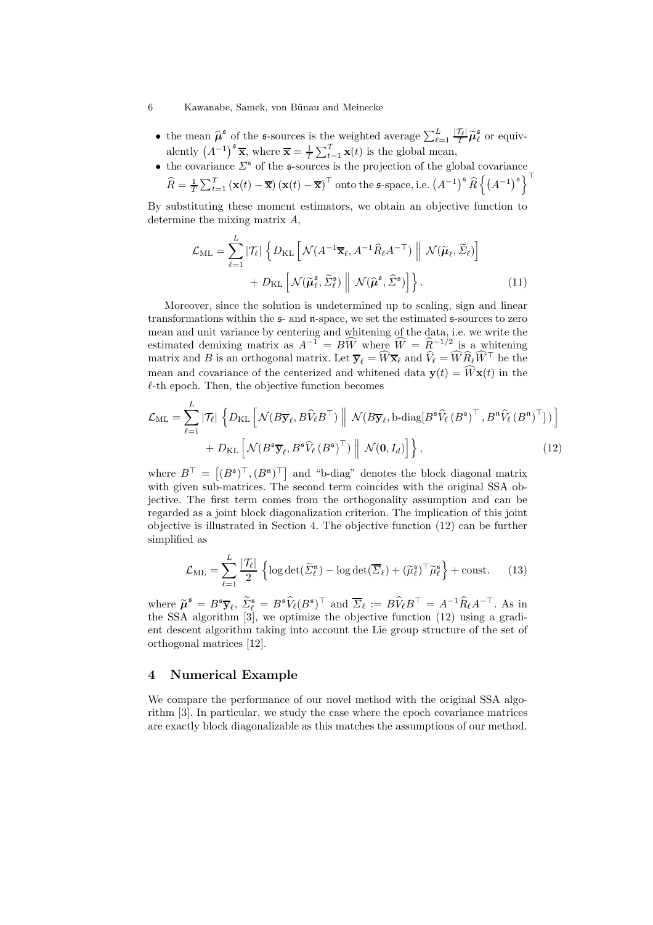- the mean  $\hat{\mu}^{\mathfrak{s}}$  of the s-sources is the weighted average  $\sum_{\ell=1}^{L} \frac{|\mathcal{T}_{\ell}|}{T} \tilde{\mu}_{\ell}^{\mathfrak{s}}$  $\frac{1}{\ell}$  or equivalently  $(A^{-1})^s \overline{\mathbf{x}}$ , where  $\overline{\mathbf{x}} = \frac{1}{T}$  $\frac{1}{T} \sum_{t=1}^{T} \mathbf{x}(t)$  is the global mean,
- the covariance  $\Sigma^{\mathfrak{s}}$  of the s-sources is the projection of the global covariance  $\widehat{R} = \frac{1}{T}$  $\frac{1}{T}\sum_{t=1}^T\left(\mathbf{x}(t)-\overline{\mathbf{x}}\right)\left(\mathbf{x}(t)-\overline{\mathbf{x}}\right)^\top$  onto the  $\mathfrak{s}\text{-space}, \text{i.e.}~\left(A^{-1}\right)^{\mathfrak{s}}\widehat{R}\left\{\left(A^{-1}\right)^{\mathfrak{s}}\right\}^\top$

By substituting these moment estimators, we obtain an objective function to determine the mixing matrix A,

$$
\mathcal{L}_{\text{ML}} = \sum_{\ell=1}^{L} |\mathcal{T}_{\ell}| \left\{ D_{\text{KL}} \left[ \mathcal{N}(A^{-1}\overline{\mathbf{x}}_{\ell}, A^{-1}\widehat{R}_{\ell}A^{-\top}) \middle\| \mathcal{N}(\widetilde{\boldsymbol{\mu}}_{\ell}, \widetilde{\boldsymbol{\Sigma}}_{\ell}) \right] + D_{\text{KL}} \left[ \mathcal{N}(\widetilde{\boldsymbol{\mu}}_{\ell}^{s}, \widetilde{\boldsymbol{\Sigma}}_{\ell}^{s}) \middle\| \mathcal{N}(\widehat{\boldsymbol{\mu}}^{s}, \widehat{\boldsymbol{\Sigma}}^{s}) \right] \right\}.
$$
\n(11)

Moreover, since the solution is undetermined up to scaling, sign and linear transformations within the  $\mathfrak{s}$ - and  $\mathfrak{n}$ -space, we set the estimated  $\mathfrak{s}$ -sources to zero mean and unit variance by centering and whitening of the data, i.e. we write the estimated demixing matrix as  $A^{-1} = B\widehat{W}$  where  $\widehat{W} = \widehat{R}^{-1/2}$  is a whitening matrix and B is an orthogonal matrix. Let  $\overline{y}_{\ell} = \widehat{W} \overline{x}_{\ell}$  and  $\widehat{V}_{\ell} = \widehat{W} \widehat{R}_{\ell} \widehat{W}^{\top}$  be the mean and covariance of the centerized and whitened data  $\mathbf{v}(t) = \widehat{W} \mathbf{x}(t)$  in the  $l$ -th epoch. Then, the objective function becomes

$$
\mathcal{L}_{\text{ML}} = \sum_{\ell=1}^{L} |\mathcal{T}_{\ell}| \left\{ D_{\text{KL}} \left[ \mathcal{N}(B \overline{\mathbf{y}}_{\ell}, B \widehat{V}_{\ell} B^{\top}) \middle\| \mathcal{N}(B \overline{\mathbf{y}}_{\ell}, \text{b-diag}[B^{s} \widehat{V}_{\ell} (B^{s})^{\top}, B^{n} \widehat{V}_{\ell} (B^{n})^{\top}] \right) \right\} + D_{\text{KL}} \left[ \mathcal{N}(B^{s} \overline{\mathbf{y}}_{\ell}, B^{s} \widehat{V}_{\ell} (B^{s})^{\top}) \middle\| \mathcal{N}(\mathbf{0}, I_{d}) \right] \right\},
$$
(12)

where  $B^{\top} = [(B^{\mathfrak{s}})^{\top}, (B^{\mathfrak{n}})^{\top}]$  and "b-diag" denotes the block diagonal matrix with given sub-matrices. The second term coincides with the original SSA objective. The first term comes from the orthogonality assumption and can be regarded as a joint block diagonalization criterion. The implication of this joint objective is illustrated in Section 4. The objective function (12) can be further simplified as

$$
\mathcal{L}_{\mathrm{ML}} = \sum_{\ell=1}^{L} \frac{|\mathcal{T}_{\ell}|}{2} \left\{ \log \det(\widetilde{\Sigma}_{\ell}^{\mathfrak{n}}) - \log \det(\overline{\Sigma}_{\ell}) + (\widetilde{\mu}_{\ell}^{\mathfrak{s}})^{\top} \widetilde{\mu}_{\ell}^{\mathfrak{s}} \right\} + \text{const.} \qquad (13)
$$

where  $\widetilde{\mu}^{\mathfrak{s}} = B^{\mathfrak{s}} \overline{\mathcal{Y}}_{\ell}, \widetilde{\Sigma}_{\ell}^{\mathfrak{s}} = B^{\mathfrak{s}} \widehat{V}_{\ell} (B^{\mathfrak{s}})^{\top}$  and  $\overline{\Sigma}_{\ell} := B \widehat{V}_{\ell} B^{\top} = A^{-1} \widehat{R}_{\ell} A^{-\top}$ . As in the SSA algorithm [3], we optimize the objective function (12) using a gradient descent algorithm taking into account the Lie group structure of the set of orthogonal matrices [12].

## 4 Numerical Example

We compare the performance of our novel method with the original SSA algorithm [3]. In particular, we study the case where the epoch covariance matrices are exactly block diagonalizable as this matches the assumptions of our method.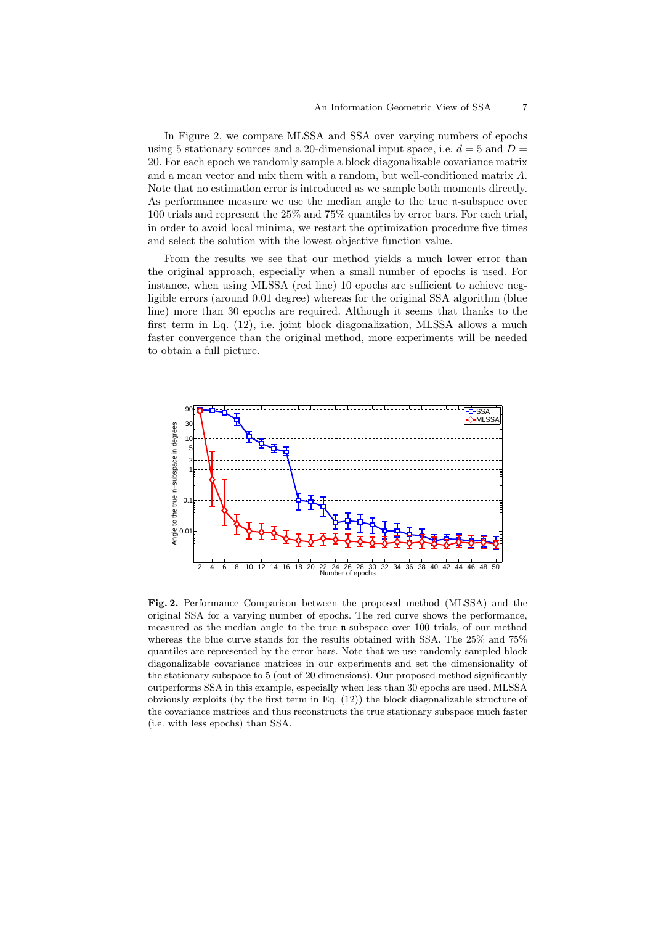In Figure 2, we compare MLSSA and SSA over varying numbers of epochs using 5 stationary sources and a 20-dimensional input space, i.e.  $d = 5$  and  $D =$ 20. For each epoch we randomly sample a block diagonalizable covariance matrix and a mean vector and mix them with a random, but well-conditioned matrix A. Note that no estimation error is introduced as we sample both moments directly. As performance measure we use the median angle to the true n-subspace over 100 trials and represent the 25% and 75% quantiles by error bars. For each trial, in order to avoid local minima, we restart the optimization procedure five times and select the solution with the lowest objective function value.

From the results we see that our method yields a much lower error than the original approach, especially when a small number of epochs is used. For instance, when using MLSSA (red line) 10 epochs are sufficient to achieve negligible errors (around 0.01 degree) whereas for the original SSA algorithm (blue line) more than 30 epochs are required. Although it seems that thanks to the first term in Eq. (12), i.e. joint block diagonalization, MLSSA allows a much faster convergence than the original method, more experiments will be needed to obtain a full picture.



Fig. 2. Performance Comparison between the proposed method (MLSSA) and the original SSA for a varying number of epochs. The red curve shows the performance, measured as the median angle to the true n-subspace over 100 trials, of our method whereas the blue curve stands for the results obtained with SSA. The 25% and 75% quantiles are represented by the error bars. Note that we use randomly sampled block diagonalizable covariance matrices in our experiments and set the dimensionality of the stationary subspace to 5 (out of 20 dimensions). Our proposed method significantly outperforms SSA in this example, especially when less than 30 epochs are used. MLSSA obviously exploits (by the first term in Eq. (12)) the block diagonalizable structure of the covariance matrices and thus reconstructs the true stationary subspace much faster (i.e. with less epochs) than SSA.